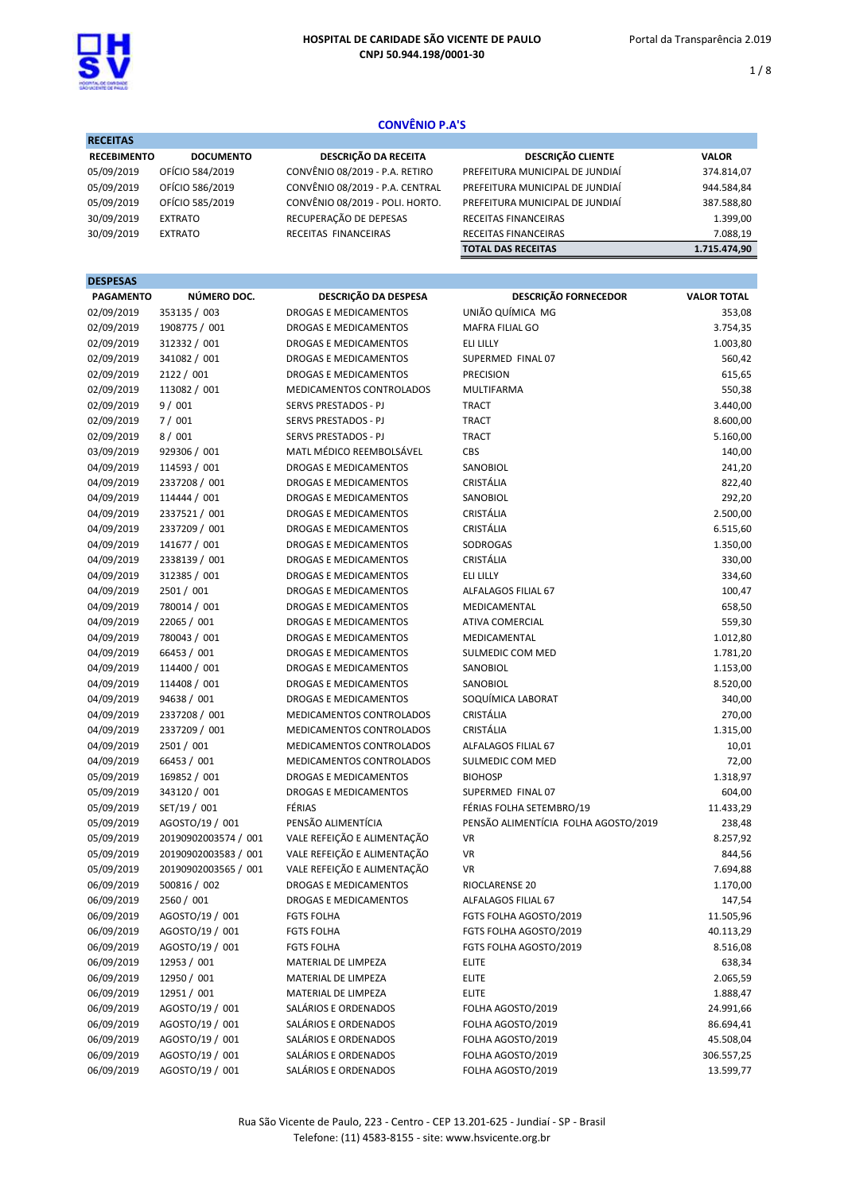

**DECEITAS** 

1 / 8

# CONVÊNIO P.A'S

| -----------        |                  |                                 |                                 |              |
|--------------------|------------------|---------------------------------|---------------------------------|--------------|
| <b>RECEBIMENTO</b> | <b>DOCUMENTO</b> | <b>DESCRIÇÃO DA RECEITA</b>     | <b>DESCRIÇÃO CLIENTE</b>        | <b>VALOR</b> |
| 05/09/2019         | OFÍCIO 584/2019  | CONVÊNIO 08/2019 - P.A. RETIRO  | PREFEITURA MUNICIPAL DE JUNDIAÍ | 374.814,07   |
| 05/09/2019         | OFÍCIO 586/2019  | CONVÊNIO 08/2019 - P.A. CENTRAL | PREFEITURA MUNICIPAL DE JUNDIAÍ | 944.584,84   |
| 05/09/2019         | OFÍCIO 585/2019  | CONVÊNIO 08/2019 - POLI. HORTO. | PREFEITURA MUNICIPAL DE JUNDIAÍ | 387.588,80   |
| 30/09/2019         | <b>EXTRATO</b>   | RECUPERAÇÃO DE DEPESAS          | RECEITAS FINANCEIRAS            | 1.399,00     |
| 30/09/2019         | <b>EXTRATO</b>   | RECEITAS FINANCEIRAS            | RECEITAS FINANCEIRAS            | 7.088.19     |
|                    |                  |                                 | <b>TOTAL DAS RECEITAS</b>       | 1.715.474.90 |

# DESPESAS PAGAMENTO NÚMERO DOC. DESCRIÇÃO DA DESPESA DESPESA DESCRIÇÃO FORNECEDOR VALOR TOTAL 02/09/2019 353135 / 003 DROGAS E MEDICAMENTOS UNIÃO QUÍMICA MG 353,08 02/09/2019 1908775 / 001 DROGAS E MEDICAMENTOS MAFRA FILIAL GO 3.754,35 02/09/2019 312332 / 001 DROGAS E MEDICAMENTOS ELI LILLY 1.003.80 02/09/2019 341082 / 001 DROGAS E MEDICAMENTOS SUPERMED FINAL 07 SHOT 350,42 02/09/2019 2122 / 001 DROGAS E MEDICAMENTOS PRECISION 615,65 02/09/2019 113082 / 001 MEDICAMENTOS CONTROLADOS MULTIFARMA 550,38 02/09/2019 9/001 SERVS PRESTADOS - PJ TRACT SALON SALO 3.440,00 02/09/2019 7 / 001 SERVS PRESTADOS - PJ TRACT S.600.00 02/09/2019 8 / 001 SERVS PRESTADOS - PJ TRACT 5.160,00 03/09/2019 929306 / 001 MATL MÉDICO REEMBOLSÁVEL CBS 140,00 04/09/2019 114593 / 001 DROGAS E MEDICAMENTOS SANOBIOL 241,20 04/09/2019 2337208 / 001 DROGAS E MEDICAMENTOS CRISTÁLIA 822,40 04/09/2019 114444 / 001 DROGAS E MEDICAMENTOS SANOBIOL 292,20 04/09/2019 2337521 / 001 DROGAS E MEDICAMENTOS CRISTÁLIA 2.500,00 04/09/2019 2337209 / 001 DROGAS E MEDICAMENTOS CRISTÁLIA 6.515,60 04/09/2019 141677 / 001 DROGAS E MEDICAMENTOS SODROGAS 1.350,00 04/09/2019 2338139 / 001 DROGAS E MEDICAMENTOS CRISTÁLIA 330,00 04/09/2019 312385 / 001 DROGAS E MEDICAMENTOS ELI LILLY 334,60 04/09/2019 2501 / 001 DROGAS E MEDICAMENTOS ALFALAGOS FILIAL 67 100,47 04/09/2019 780014 / 001 DROGAS E MEDICAMENTOS MEDICAMENTAL 658,50 04/09/2019 22065 / 001 DROGAS E MEDICAMENTOS ATIVA COMERCIAL COMERCIAL S59.30 04/09/2019 780043 / 001 DROGAS E MEDICAMENTOS MEDICAMENTAL 1.012.80 04/09/2019 66453 / 001 DROGAS E MEDICAMENTOS SULMEDIC COM MED 1.781,20 04/09/2019 114400 / 001 DROGAS E MEDICAMENTOS SANOBIOL SANOBIOL 1.153,00 04/09/2019 114408 / 001 DROGAS E MEDICAMENTOS SANOBIOL 8.520,00 04/09/2019 94638 / 001 DROGAS E MEDICAMENTOS SOQUÍMICA LABORAT 340,00 04/09/2019 2337208 / 001 MEDICAMENTOS CONTROLADOS CRISTÁLIA 270,00 04/09/2019 2337209 / 001 MEDICAMENTOS CONTROLADOS CRISTÁLIA 1.315,00 04/09/2019 2501 / 001 MEDICAMENTOS CONTROLADOS ALFALAGOS FILIAL 67 10,01 04/09/2019 66453 / 001 MEDICAMENTOS CONTROLADOS SULMEDIC COM MED 72,00 05/09/2019 169852 / 001 DROGAS E MEDICAMENTOS BIOHOSP 1.318,97 05/09/2019 343120 / 001 DROGAS E MEDICAMENTOS SUPERMED FINAL 07 604,00 05/09/2019 SET/19 / 001 FÉRIAS FERIAS FERIAS FOLHA SETEMBRO/19 11.433,29 05/09/2019 AGOSTO/19 / 001 PENSÃO ALIMENTÍCIA PENSÃO ALIMENTÍCIA FOLHA AGOSTO/2019 238,48 05/09/2019 20190902003574 / 001 VALE REFEIÇÃO E ALIMENTAÇÃO VR 8.257,92 05/09/2019 20190902003583 / 001 VALE REFEIÇÃO E ALIMENTAÇÃO VR 844,56 05/09/2019 20190902003565 / 001 VALE REFEIÇÃO E ALIMENTAÇÃO VR 7.694,88 06/09/2019 500816 / 002 DROGAS E MEDICAMENTOS RIOCLARENSE 20 1.170.00 06/09/2019 2560 / 001 DROGAS E MEDICAMENTOS ALFALAGOS FILIAL 67 147,54 06/09/2019 AGOSTO/19 / 001 FGTS FOLHA FGTS FOLHA FGTS FOLHA AGOSTO 2019 11.505,96 06/09/2019 AGOSTO/19 / 001 FGTS FOLHA FGTS FOLHA AGOSTO/2019 40.113,29 06/09/2019 AGOSTO/19 / 001 FGTS FOLHA FGTS FOLHA AGOSTO/2019 8.516,08 06/09/2019 12953 / 001 MATERIAL DE LIMPEZA ELITE ELITE 06/09/2019 12950 / 001 MATERIAL DE LIMPEZA ELITE 2.065,59 06/09/2019 12951 / 001 MATERIAL DE LIMPEZA ELITE 2007/2019 1.888,47 06/09/2019 AGOSTO/19 / 001 SALÁRIOS E ORDENADOS FOLHA AGOSTO/2019 24.991,66 06/09/2019 AGOSTO/19 / 001 SALÁRIOS E ORDENADOS FOLHA AGOSTO/2019 86.694,41 06/09/2019 AGOSTO/19 / 001 SALÁRIOS E ORDENADOS FOLHA AGOSTO/2019 45.508,04

06/09/2019 AGOSTO/19 / 001 SALÁRIOS E ORDENADOS FOLHA AGOSTO/2019 306.557,25 06/09/2019 AGOSTO/19 / 001 SALÁRIOS E ORDENADOS FOLHA AGOSTO/2019 13.599,77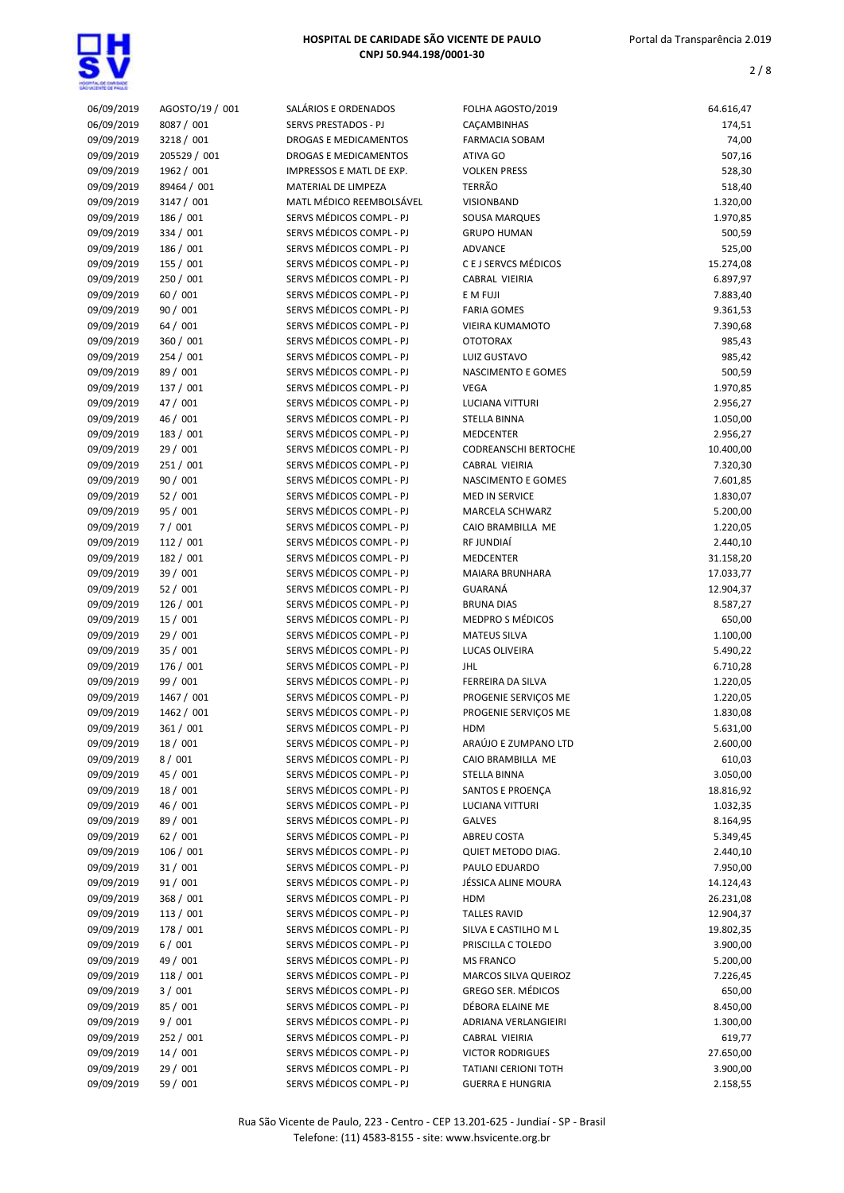

| 06/09/2019 | AGOSTO/19 / 001 | SALÁRIOS E ORDENADOS                                 | FOLHA AGOSTO/2019           | 64.616,47 |
|------------|-----------------|------------------------------------------------------|-----------------------------|-----------|
| 06/09/2019 | 8087 / 001      | <b>SERVS PRESTADOS - PJ</b>                          | CAÇAMBINHAS                 | 174,51    |
| 09/09/2019 | 3218 / 001      | <b>DROGAS E MEDICAMENTOS</b>                         | <b>FARMACIA SOBAM</b>       | 74,00     |
| 09/09/2019 | 205529 / 001    | DROGAS E MEDICAMENTOS                                | ATIVA GO                    | 507,16    |
| 09/09/2019 | 1962 / 001      | IMPRESSOS E MATL DE EXP.                             | <b>VOLKEN PRESS</b>         | 528,30    |
| 09/09/2019 | 89464 / 001     | MATERIAL DE LIMPEZA                                  | <b>TERRÃO</b>               | 518,40    |
| 09/09/2019 | 3147 / 001      | MATL MÉDICO REEMBOLSÁVEL                             | VISIONBAND                  | 1.320,00  |
| 09/09/2019 | 186 / 001       | SERVS MÉDICOS COMPL - PJ                             | SOUSA MARQUES               | 1.970,85  |
| 09/09/2019 | 334 / 001       | SERVS MÉDICOS COMPL - PJ                             | <b>GRUPO HUMAN</b>          | 500,59    |
| 09/09/2019 | 186 / 001       | SERVS MÉDICOS COMPL - PJ                             | ADVANCE                     | 525,00    |
| 09/09/2019 | 155 / 001       | SERVS MÉDICOS COMPL - PJ                             | C E J SERVCS MÉDICOS        | 15.274,08 |
| 09/09/2019 | 250 / 001       | SERVS MÉDICOS COMPL - PJ                             | CABRAL VIEIRIA              | 6.897,97  |
| 09/09/2019 | 60 / 001        | SERVS MÉDICOS COMPL - PJ                             | E M FUJI                    | 7.883,40  |
| 09/09/2019 | 90 / 001        | SERVS MÉDICOS COMPL - PJ                             | <b>FARIA GOMES</b>          | 9.361,53  |
| 09/09/2019 | 64 / 001        | SERVS MÉDICOS COMPL - PJ                             | VIEIRA KUMAMOTO             | 7.390,68  |
| 09/09/2019 | 360 / 001       | SERVS MÉDICOS COMPL - PJ                             | <b>OTOTORAX</b>             | 985,43    |
| 09/09/2019 | 254 / 001       | SERVS MÉDICOS COMPL - PJ                             |                             |           |
|            |                 |                                                      | LUIZ GUSTAVO                | 985,42    |
| 09/09/2019 | 89 / 001        | SERVS MÉDICOS COMPL - PJ<br>SERVS MÉDICOS COMPL - PJ | NASCIMENTO E GOMES          | 500,59    |
| 09/09/2019 | 137 / 001       |                                                      | <b>VEGA</b>                 | 1.970,85  |
| 09/09/2019 | 47 / 001        | SERVS MÉDICOS COMPL - PJ                             | LUCIANA VITTURI             | 2.956,27  |
| 09/09/2019 | 46 / 001        | SERVS MÉDICOS COMPL - PJ                             | <b>STELLA BINNA</b>         | 1.050,00  |
| 09/09/2019 | 183 / 001       | SERVS MÉDICOS COMPL - PJ                             | <b>MEDCENTER</b>            | 2.956,27  |
| 09/09/2019 | 29 / 001        | SERVS MÉDICOS COMPL - PJ                             | <b>CODREANSCHI BERTOCHE</b> | 10.400,00 |
| 09/09/2019 | 251/001         | SERVS MÉDICOS COMPL - PJ                             | CABRAL VIEIRIA              | 7.320,30  |
| 09/09/2019 | 90 / 001        | SERVS MÉDICOS COMPL - PJ                             | NASCIMENTO E GOMES          | 7.601,85  |
| 09/09/2019 | 52/001          | SERVS MÉDICOS COMPL - PJ                             | <b>MED IN SERVICE</b>       | 1.830,07  |
| 09/09/2019 | 95 / 001        | SERVS MÉDICOS COMPL - PJ                             | MARCELA SCHWARZ             | 5.200,00  |
| 09/09/2019 | 7/001           | SERVS MÉDICOS COMPL - PJ                             | CAIO BRAMBILLA ME           | 1.220,05  |
| 09/09/2019 | 112 / 001       | SERVS MÉDICOS COMPL - PJ                             | RF JUNDIAÍ                  | 2.440,10  |
| 09/09/2019 | 182 / 001       | SERVS MÉDICOS COMPL - PJ                             | <b>MEDCENTER</b>            | 31.158,20 |
| 09/09/2019 | 39 / 001        | SERVS MÉDICOS COMPL - PJ                             | MAIARA BRUNHARA             | 17.033,77 |
| 09/09/2019 | 52/001          | SERVS MÉDICOS COMPL - PJ                             | GUARANÁ                     | 12.904,37 |
| 09/09/2019 | 126 / 001       | SERVS MÉDICOS COMPL - PJ                             | <b>BRUNA DIAS</b>           | 8.587,27  |
| 09/09/2019 | 15 / 001        | SERVS MÉDICOS COMPL - PJ                             | MEDPRO S MÉDICOS            | 650,00    |
| 09/09/2019 | 29 / 001        | SERVS MÉDICOS COMPL - PJ                             | <b>MATEUS SILVA</b>         | 1.100,00  |
| 09/09/2019 | 35 / 001        | SERVS MÉDICOS COMPL - PJ                             | LUCAS OLIVEIRA              | 5.490,22  |
| 09/09/2019 | 176 / 001       | SERVS MÉDICOS COMPL - PJ                             | <b>JHL</b>                  | 6.710,28  |
| 09/09/2019 | 99 / 001        | SERVS MÉDICOS COMPL - PJ                             | FERREIRA DA SILVA           | 1.220,05  |
| 09/09/2019 | 1467 / 001      | SERVS MÉDICOS COMPL - PJ                             | PROGENIE SERVICOS ME        | 1.220,05  |
| 09/09/2019 | 1462 / 001      | SERVS MÉDICOS COMPL - PJ                             | PROGENIE SERVICOS ME        | 1.830,08  |
| 09/09/2019 | 361 / 001       | SERVS MÉDICOS COMPL - PJ                             | HDM                         | 5.631,00  |
| 09/09/2019 | 18 / 001        | SERVS MÉDICOS COMPL - PJ                             | ARAÚJO E ZUMPANO LTD        | 2.600,00  |
| 09/09/2019 | 8/001           | SERVS MÉDICOS COMPL - PJ                             | CAIO BRAMBILLA ME           | 610,03    |
| 09/09/2019 | 45 / 001        | SERVS MÉDICOS COMPL - PJ                             | <b>STELLA BINNA</b>         | 3.050,00  |
| 09/09/2019 | 18 / 001        | SERVS MÉDICOS COMPL - PJ                             | SANTOS E PROENÇA            | 18.816,92 |
| 09/09/2019 | 46 / 001        | SERVS MÉDICOS COMPL - PJ                             | LUCIANA VITTURI             | 1.032,35  |
| 09/09/2019 | 89 / 001        | SERVS MÉDICOS COMPL - PJ                             | GALVES                      | 8.164,95  |
| 09/09/2019 | 62/001          | SERVS MÉDICOS COMPL - PJ                             | ABREU COSTA                 | 5.349,45  |
| 09/09/2019 | 106 / 001       | SERVS MÉDICOS COMPL - PJ                             | QUIET METODO DIAG.          | 2.440,10  |
| 09/09/2019 | 31 / 001        | SERVS MÉDICOS COMPL - PJ                             | PAULO EDUARDO               | 7.950,00  |
| 09/09/2019 | 91 / 001        | SERVS MÉDICOS COMPL - PJ                             | JÉSSICA ALINE MOURA         | 14.124,43 |
| 09/09/2019 | 368 / 001       | SERVS MÉDICOS COMPL - PJ                             | <b>HDM</b>                  | 26.231,08 |
| 09/09/2019 | 113 / 001       | SERVS MÉDICOS COMPL - PJ                             | <b>TALLES RAVID</b>         | 12.904,37 |
| 09/09/2019 | 178 / 001       | SERVS MÉDICOS COMPL - PJ                             | SILVA E CASTILHO M L        | 19.802,35 |
| 09/09/2019 | 6/001           | SERVS MÉDICOS COMPL - PJ                             | PRISCILLA C TOLEDO          | 3.900,00  |
| 09/09/2019 | 49 / 001        | SERVS MÉDICOS COMPL - PJ                             | <b>MS FRANCO</b>            | 5.200,00  |
| 09/09/2019 | 118 / 001       | SERVS MÉDICOS COMPL - PJ                             | MARCOS SILVA QUEIROZ        | 7.226,45  |
| 09/09/2019 | 3/001           | SERVS MÉDICOS COMPL - PJ                             | <b>GREGO SER. MÉDICOS</b>   | 650,00    |
| 09/09/2019 | 85 / 001        | SERVS MÉDICOS COMPL - PJ                             | DÉBORA ELAINE ME            | 8.450,00  |
| 09/09/2019 | 9/001           | SERVS MÉDICOS COMPL - PJ                             | ADRIANA VERLANGIEIRI        | 1.300,00  |
| 09/09/2019 | 252 / 001       | SERVS MÉDICOS COMPL - PJ                             | CABRAL VIEIRIA              | 619,77    |
| 09/09/2019 | 14 / 001        | SERVS MÉDICOS COMPL - PJ                             | <b>VICTOR RODRIGUES</b>     | 27.650,00 |
| 09/09/2019 | 29 / 001        | SERVS MÉDICOS COMPL - PJ                             | <b>TATIANI CERIONI TOTH</b> | 3.900,00  |
| 09/09/2019 | 59 / 001        | SERVS MÉDICOS COMPL - PJ                             | <b>GUERRA E HUNGRIA</b>     | 2.158,55  |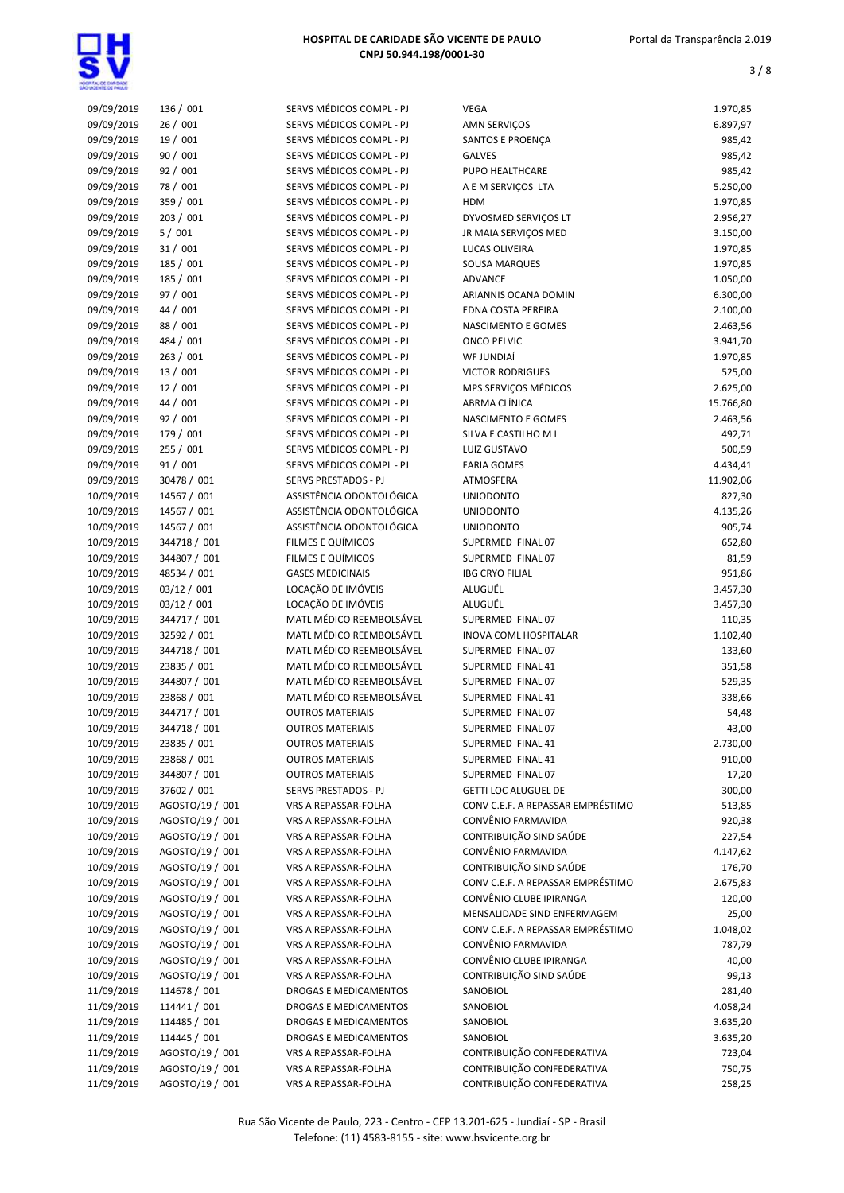

| 09/09/2019 | 136 / 001       | SERVS MÉDICOS COMPL - PJ    | <b>VEGA</b>                       | 1.970,85  |
|------------|-----------------|-----------------------------|-----------------------------------|-----------|
| 09/09/2019 | 26/001          | SERVS MÉDICOS COMPL - PJ    | AMN SERVIÇOS                      | 6.897,97  |
| 09/09/2019 | 19 / 001        | SERVS MÉDICOS COMPL - PJ    | SANTOS E PROENÇA                  | 985,42    |
| 09/09/2019 | 90 / 001        | SERVS MÉDICOS COMPL - PJ    | <b>GALVES</b>                     | 985,42    |
| 09/09/2019 | 92 / 001        | SERVS MÉDICOS COMPL - PJ    | PUPO HEALTHCARE                   | 985,42    |
| 09/09/2019 | 78 / 001        | SERVS MÉDICOS COMPL - PJ    | A E M SERVIÇOS LTA                | 5.250,00  |
| 09/09/2019 | 359 / 001       | SERVS MÉDICOS COMPL - PJ    | <b>HDM</b>                        | 1.970,85  |
| 09/09/2019 | 203 / 001       | SERVS MÉDICOS COMPL - PJ    | DYVOSMED SERVIÇOS LT              | 2.956,27  |
| 09/09/2019 | 5/001           | SERVS MÉDICOS COMPL - PJ    | JR MAIA SERVIÇOS MED              | 3.150,00  |
| 09/09/2019 | 31 / 001        | SERVS MÉDICOS COMPL - PJ    | LUCAS OLIVEIRA                    | 1.970,85  |
| 09/09/2019 | 185 / 001       | SERVS MÉDICOS COMPL - PJ    | SOUSA MARQUES                     | 1.970,85  |
| 09/09/2019 | 185 / 001       | SERVS MÉDICOS COMPL - PJ    | <b>ADVANCE</b>                    | 1.050,00  |
| 09/09/2019 | 97 / 001        | SERVS MÉDICOS COMPL - PJ    | ARIANNIS OCANA DOMIN              | 6.300,00  |
| 09/09/2019 | 44 / 001        | SERVS MÉDICOS COMPL - PJ    | EDNA COSTA PEREIRA                | 2.100,00  |
| 09/09/2019 | 88 / 001        | SERVS MÉDICOS COMPL - PJ    | NASCIMENTO E GOMES                | 2.463,56  |
| 09/09/2019 | 484 / 001       | SERVS MÉDICOS COMPL - PJ    | <b>ONCO PELVIC</b>                | 3.941,70  |
| 09/09/2019 | 263 / 001       | SERVS MÉDICOS COMPL - PJ    | WF JUNDIAÍ                        | 1.970,85  |
|            |                 |                             |                                   |           |
| 09/09/2019 | 13 / 001        | SERVS MÉDICOS COMPL - PJ    | <b>VICTOR RODRIGUES</b>           | 525,00    |
| 09/09/2019 | 12 / 001        | SERVS MÉDICOS COMPL - PJ    | MPS SERVIÇOS MÉDICOS              | 2.625,00  |
| 09/09/2019 | 44 / 001        | SERVS MÉDICOS COMPL - PJ    | ABRMA CLÍNICA                     | 15.766,80 |
| 09/09/2019 | 92 / 001        | SERVS MÉDICOS COMPL - PJ    | NASCIMENTO E GOMES                | 2.463,56  |
| 09/09/2019 | 179 / 001       | SERVS MÉDICOS COMPL - PJ    | SILVA E CASTILHO M L              | 492,71    |
| 09/09/2019 | 255 / 001       | SERVS MÉDICOS COMPL - PJ    | LUIZ GUSTAVO                      | 500,59    |
| 09/09/2019 | 91 / 001        | SERVS MÉDICOS COMPL - PJ    | <b>FARIA GOMES</b>                | 4.434,41  |
| 09/09/2019 | 30478 / 001     | <b>SERVS PRESTADOS - PJ</b> | ATMOSFERA                         | 11.902,06 |
| 10/09/2019 | 14567 / 001     | ASSISTÊNCIA ODONTOLÓGICA    | <b>UNIODONTO</b>                  | 827,30    |
| 10/09/2019 | 14567 / 001     | ASSISTÊNCIA ODONTOLÓGICA    | <b>UNIODONTO</b>                  | 4.135,26  |
| 10/09/2019 | 14567 / 001     | ASSISTÊNCIA ODONTOLÓGICA    | <b>UNIODONTO</b>                  | 905,74    |
| 10/09/2019 | 344718 / 001    | FILMES E QUÍMICOS           | SUPERMED FINAL 07                 | 652,80    |
| 10/09/2019 | 344807 / 001    | FILMES E QUÍMICOS           | SUPERMED FINAL 07                 | 81,59     |
| 10/09/2019 | 48534 / 001     | <b>GASES MEDICINAIS</b>     | <b>IBG CRYO FILIAL</b>            | 951,86    |
| 10/09/2019 | 03/12 / 001     | LOCAÇÃO DE IMÓVEIS          | ALUGUÉL                           | 3.457,30  |
| 10/09/2019 | 03/12 / 001     | LOCAÇÃO DE IMÓVEIS          | ALUGUÉL                           | 3.457,30  |
| 10/09/2019 | 344717 / 001    | MATL MÉDICO REEMBOLSÁVEL    | SUPERMED FINAL 07                 | 110,35    |
| 10/09/2019 | 32592 / 001     | MATL MÉDICO REEMBOLSÁVEL    | <b>INOVA COML HOSPITALAR</b>      | 1.102,40  |
| 10/09/2019 | 344718 / 001    | MATL MÉDICO REEMBOLSÁVEL    | SUPERMED FINAL 07                 | 133,60    |
| 10/09/2019 | 23835 / 001     | MATL MÉDICO REEMBOLSÁVEL    | SUPERMED FINAL 41                 | 351,58    |
| 10/09/2019 | 344807 / 001    | MATL MÉDICO REEMBOLSÁVEL    | SUPERMED FINAL 07                 | 529,35    |
| 10/09/2019 | 23868 / 001     | MATL MÉDICO REEMBOLSÁVEL    | SUPERMED FINAL 41                 | 338,66    |
| 10/09/2019 | 344717 / 001    | <b>OUTROS MATERIAIS</b>     | SUPERMED FINAL 07                 | 54,48     |
|            |                 | <b>OUTROS MATERIAIS</b>     | SUPERMED FINAL 07                 |           |
| 10/09/2019 | 344718 / 001    |                             |                                   | 43,00     |
| 10/09/2019 | 23835 / 001     | <b>OUTROS MATERIAIS</b>     | SUPERMED FINAL 41                 | 2.730,00  |
| 10/09/2019 | 23868 / 001     | <b>OUTROS MATERIAIS</b>     | SUPERMED FINAL 41                 | 910,00    |
| 10/09/2019 | 344807 / 001    | <b>OUTROS MATERIAIS</b>     | SUPERMED FINAL 07                 | 17,20     |
| 10/09/2019 | 37602 / 001     | SERVS PRESTADOS - PJ        | <b>GETTI LOC ALUGUEL DE</b>       | 300,00    |
| 10/09/2019 | AGOSTO/19 / 001 | VRS A REPASSAR-FOLHA        | CONV C.E.F. A REPASSAR EMPRÉSTIMO | 513,85    |
| 10/09/2019 | AGOSTO/19 / 001 | VRS A REPASSAR-FOLHA        | CONVÊNIO FARMAVIDA                | 920,38    |
| 10/09/2019 | AGOSTO/19 / 001 | VRS A REPASSAR-FOLHA        | CONTRIBUIÇÃO SIND SAÚDE           | 227,54    |
| 10/09/2019 | AGOSTO/19 / 001 | VRS A REPASSAR-FOLHA        | CONVÊNIO FARMAVIDA                | 4.147,62  |
| 10/09/2019 | AGOSTO/19 / 001 | VRS A REPASSAR-FOLHA        | CONTRIBUIÇÃO SIND SAÚDE           | 176,70    |
| 10/09/2019 | AGOSTO/19 / 001 | VRS A REPASSAR-FOLHA        | CONV C.E.F. A REPASSAR EMPRÉSTIMO | 2.675,83  |
| 10/09/2019 | AGOSTO/19 / 001 | VRS A REPASSAR-FOLHA        | CONVÊNIO CLUBE IPIRANGA           | 120,00    |
| 10/09/2019 | AGOSTO/19 / 001 | VRS A REPASSAR-FOLHA        | MENSALIDADE SIND ENFERMAGEM       | 25,00     |
| 10/09/2019 | AGOSTO/19 / 001 | VRS A REPASSAR-FOLHA        | CONV C.E.F. A REPASSAR EMPRÉSTIMO | 1.048,02  |
| 10/09/2019 | AGOSTO/19 / 001 | VRS A REPASSAR-FOLHA        | CONVÊNIO FARMAVIDA                | 787,79    |
| 10/09/2019 | AGOSTO/19 / 001 | VRS A REPASSAR-FOLHA        | CONVÊNIO CLUBE IPIRANGA           | 40,00     |
| 10/09/2019 | AGOSTO/19 / 001 | VRS A REPASSAR-FOLHA        | CONTRIBUIÇÃO SIND SAÚDE           | 99,13     |
| 11/09/2019 | 114678 / 001    | DROGAS E MEDICAMENTOS       | SANOBIOL                          | 281,40    |
| 11/09/2019 | 114441 / 001    | DROGAS E MEDICAMENTOS       | SANOBIOL                          | 4.058,24  |
| 11/09/2019 | 114485 / 001    | DROGAS E MEDICAMENTOS       | SANOBIOL                          | 3.635,20  |
| 11/09/2019 | 114445 / 001    | DROGAS E MEDICAMENTOS       | SANOBIOL                          | 3.635,20  |
|            |                 |                             |                                   |           |
| 11/09/2019 | AGOSTO/19 / 001 | VRS A REPASSAR-FOLHA        | CONTRIBUIÇÃO CONFEDERATIVA        | 723,04    |
| 11/09/2019 | AGOSTO/19 / 001 | VRS A REPASSAR-FOLHA        | CONTRIBUIÇÃO CONFEDERATIVA        | 750,75    |
| 11/09/2019 | AGOSTO/19 / 001 | VRS A REPASSAR-FOLHA        | CONTRIBUIÇÃO CONFEDERATIVA        | 258,25    |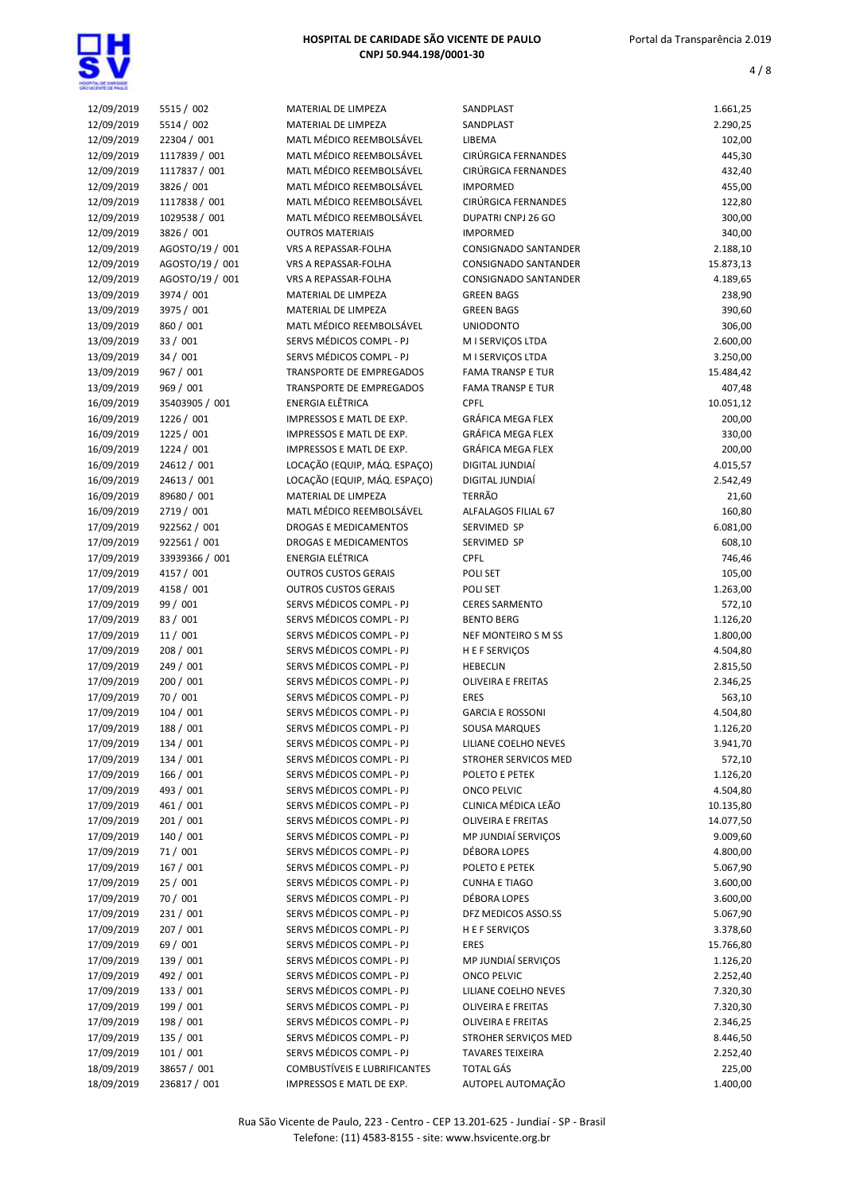

| 12/09/2019 | 5515 / 002      | MATERIAL DE LIMPEZA             | SANDPLAST                   | 1.661,25  |
|------------|-----------------|---------------------------------|-----------------------------|-----------|
| 12/09/2019 | 5514 / 002      | MATERIAL DE LIMPEZA             | SANDPLAST                   | 2.290,25  |
|            |                 |                                 |                             |           |
| 12/09/2019 | 22304 / 001     | MATL MÉDICO REEMBOLSÁVEL        | LIBEMA                      | 102,00    |
| 12/09/2019 | 1117839 / 001   | MATL MÉDICO REEMBOLSÁVEL        | CIRÚRGICA FERNANDES         | 445,30    |
| 12/09/2019 | 1117837 / 001   | MATL MÉDICO REEMBOLSÁVEL        | CIRÚRGICA FERNANDES         | 432,40    |
| 12/09/2019 | 3826 / 001      | MATL MÉDICO REEMBOLSÁVEL        | <b>IMPORMED</b>             | 455,00    |
|            |                 |                                 |                             |           |
| 12/09/2019 | 1117838 / 001   | MATL MÉDICO REEMBOLSÁVEL        | CIRÚRGICA FERNANDES         | 122,80    |
| 12/09/2019 | 1029538 / 001   | MATL MÉDICO REEMBOLSÁVEL        | DUPATRI CNPJ 26 GO          | 300,00    |
| 12/09/2019 | 3826 / 001      | <b>OUTROS MATERIAIS</b>         | <b>IMPORMED</b>             | 340,00    |
|            |                 |                                 |                             |           |
| 12/09/2019 | AGOSTO/19 / 001 | <b>VRS A REPASSAR-FOLHA</b>     | <b>CONSIGNADO SANTANDER</b> | 2.188,10  |
| 12/09/2019 | AGOSTO/19 / 001 | VRS A REPASSAR-FOLHA            | <b>CONSIGNADO SANTANDER</b> | 15.873,13 |
| 12/09/2019 | AGOSTO/19 / 001 | VRS A REPASSAR-FOLHA            | <b>CONSIGNADO SANTANDER</b> | 4.189,65  |
| 13/09/2019 |                 | MATERIAL DE LIMPEZA             |                             |           |
|            | 3974 / 001      |                                 | <b>GREEN BAGS</b>           | 238,90    |
| 13/09/2019 | 3975 / 001      | MATERIAL DE LIMPEZA             | <b>GREEN BAGS</b>           | 390,60    |
| 13/09/2019 | 860 / 001       | MATL MÉDICO REEMBOLSÁVEL        | <b>UNIODONTO</b>            | 306,00    |
| 13/09/2019 | 33 / 001        | SERVS MÉDICOS COMPL - PJ        | M I SERVIÇOS LTDA           | 2.600,00  |
|            |                 |                                 |                             |           |
| 13/09/2019 | 34/001          | SERVS MÉDICOS COMPL - PJ        | M I SERVIÇOS LTDA           | 3.250,00  |
| 13/09/2019 | 967 / 001       | <b>TRANSPORTE DE EMPREGADOS</b> | <b>FAMA TRANSP E TUR</b>    | 15.484,42 |
| 13/09/2019 | 969 / 001       | TRANSPORTE DE EMPREGADOS        | <b>FAMA TRANSP E TUR</b>    | 407,48    |
|            |                 | <b>ENERGIA ELÊTRICA</b>         | <b>CPFL</b>                 |           |
| 16/09/2019 | 35403905 / 001  |                                 |                             | 10.051,12 |
| 16/09/2019 | 1226 / 001      | <b>IMPRESSOS E MATL DE EXP.</b> | <b>GRÁFICA MEGA FLEX</b>    | 200,00    |
| 16/09/2019 | 1225 / 001      | IMPRESSOS E MATL DE EXP.        | <b>GRÁFICA MEGA FLEX</b>    | 330,00    |
| 16/09/2019 | 1224 / 001      | IMPRESSOS E MATL DE EXP.        | <b>GRÁFICA MEGA FLEX</b>    | 200,00    |
|            |                 |                                 |                             |           |
| 16/09/2019 | 24612 / 001     | LOCAÇÃO (EQUIP, MÁQ. ESPAÇO)    | DIGITAL JUNDIAÍ             | 4.015,57  |
| 16/09/2019 | 24613 / 001     | LOCAÇÃO (EQUIP, MÁQ. ESPAÇO)    | DIGITAL JUNDIAÍ             | 2.542,49  |
| 16/09/2019 | 89680 / 001     | MATERIAL DE LIMPEZA             | <b>TERRÃO</b>               | 21,60     |
|            |                 |                                 |                             |           |
| 16/09/2019 | 2719 / 001      | MATL MÉDICO REEMBOLSÁVEL        | ALFALAGOS FILIAL 67         | 160,80    |
| 17/09/2019 | 922562 / 001    | DROGAS E MEDICAMENTOS           | SERVIMED SP                 | 6.081,00  |
| 17/09/2019 | 922561 / 001    | <b>DROGAS E MEDICAMENTOS</b>    | SERVIMED SP                 | 608,10    |
| 17/09/2019 | 33939366 / 001  | ENERGIA ELÉTRICA                | <b>CPFL</b>                 | 746,46    |
|            |                 |                                 |                             |           |
| 17/09/2019 | 4157 / 001      | <b>OUTROS CUSTOS GERAIS</b>     | POLI SET                    | 105,00    |
| 17/09/2019 | 4158 / 001      | <b>OUTROS CUSTOS GERAIS</b>     | POLI SET                    | 1.263,00  |
| 17/09/2019 | 99 / 001        | SERVS MÉDICOS COMPL - PJ        | <b>CERES SARMENTO</b>       | 572,10    |
|            |                 |                                 |                             |           |
| 17/09/2019 | 83 / 001        | SERVS MÉDICOS COMPL - PJ        | <b>BENTO BERG</b>           | 1.126,20  |
| 17/09/2019 | 11/001          | SERVS MÉDICOS COMPL - PJ        | NEF MONTEIRO S M SS         | 1.800,00  |
| 17/09/2019 | 208 / 001       | SERVS MÉDICOS COMPL - PJ        | H E F SERVIÇOS              | 4.504,80  |
| 17/09/2019 | 249 / 001       | SERVS MÉDICOS COMPL - PJ        | <b>HEBECLIN</b>             | 2.815,50  |
|            |                 |                                 |                             |           |
| 17/09/2019 | 200 / 001       | SERVS MÉDICOS COMPL - PJ        | <b>OLIVEIRA E FREITAS</b>   | 2.346,25  |
| 17/09/2019 | 70 / 001        | SERVS MÉDICOS COMPL - PJ        | <b>ERES</b>                 | 563,10    |
| 17/09/2019 | 104/001         | SERVS MÉDICOS COMPL - PJ        | <b>GARCIA E ROSSONI</b>     | 4.504,80  |
|            |                 |                                 |                             |           |
| 17/09/2019 | 188 / 001       | SERVS MÉDICOS COMPL - PJ        | <b>SOUSA MARQUES</b>        | 1.126,20  |
| 17/09/2019 | 134 / 001       | SERVS MÉDICOS COMPL - PJ        | LILIANE COELHO NEVES        | 3.941,70  |
| 17/09/2019 | 134 / 001       | SERVS MÉDICOS COMPL - PJ        | STROHER SERVICOS MED        | 572,10    |
| 17/09/2019 | 166 / 001       | SERVS MÉDICOS COMPL - PJ        | POLETO E PETEK              | 1.126,20  |
|            |                 |                                 |                             |           |
| 17/09/2019 | 493 / 001       | SERVS MÉDICOS COMPL - PJ        | <b>ONCO PELVIC</b>          | 4.504,80  |
| 17/09/2019 | 461 / 001       | SERVS MÉDICOS COMPL - PJ        | CLINICA MÉDICA LEÃO         | 10.135,80 |
| 17/09/2019 | 201 / 001       | SERVS MÉDICOS COMPL - PJ        | <b>OLIVEIRA E FREITAS</b>   | 14.077,50 |
|            |                 |                                 |                             |           |
| 17/09/2019 | 140 / 001       | SERVS MÉDICOS COMPL - PJ        | MP JUNDIAÍ SERVIÇOS         | 9.009,60  |
| 17/09/2019 | 71/001          | SERVS MÉDICOS COMPL - PJ        | DÉBORA LOPES                | 4.800,00  |
| 17/09/2019 | 167 / 001       | SERVS MÉDICOS COMPL - PJ        | POLETO E PETEK              | 5.067,90  |
| 17/09/2019 | 25 / 001        | SERVS MÉDICOS COMPL - PJ        | <b>CUNHA E TIAGO</b>        | 3.600,00  |
|            |                 |                                 |                             |           |
| 17/09/2019 | 70 / 001        | SERVS MÉDICOS COMPL - PJ        | DÉBORA LOPES                | 3.600,00  |
| 17/09/2019 | 231 / 001       | SERVS MÉDICOS COMPL - PJ        | DFZ MEDICOS ASSO.SS         | 5.067,90  |
| 17/09/2019 | 207 / 001       | SERVS MÉDICOS COMPL - PJ        | H E F SERVIÇOS              | 3.378,60  |
|            |                 |                                 |                             |           |
| 17/09/2019 | 69 / 001        | SERVS MÉDICOS COMPL - PJ        | ERES                        | 15.766,80 |
| 17/09/2019 | 139 / 001       | SERVS MÉDICOS COMPL - PJ        | MP JUNDIAÍ SERVIÇOS         | 1.126,20  |
| 17/09/2019 | 492 / 001       | SERVS MÉDICOS COMPL - PJ        | <b>ONCO PELVIC</b>          | 2.252,40  |
| 17/09/2019 | 133 / 001       | SERVS MÉDICOS COMPL - PJ        | LILIANE COELHO NEVES        | 7.320,30  |
|            |                 |                                 |                             |           |
| 17/09/2019 | 199 / 001       | SERVS MÉDICOS COMPL - PJ        | <b>OLIVEIRA E FREITAS</b>   | 7.320,30  |
| 17/09/2019 | 198 / 001       | SERVS MÉDICOS COMPL - PJ        | <b>OLIVEIRA E FREITAS</b>   | 2.346,25  |
| 17/09/2019 | 135 / 001       | SERVS MÉDICOS COMPL - PJ        | STROHER SERVIÇOS MED        | 8.446,50  |
|            | 101/001         | SERVS MÉDICOS COMPL - PJ        | <b>TAVARES TEIXEIRA</b>     | 2.252,40  |
| 17/09/2019 |                 |                                 |                             |           |
| 18/09/2019 | 38657 / 001     | COMBUSTÍVEIS E LUBRIFICANTES    | <b>TOTAL GÁS</b>            | 225,00    |
| 18/09/2019 | 236817 / 001    | IMPRESSOS E MATL DE EXP.        | AUTOPEL AUTOMAÇÃO           | 1.400,00  |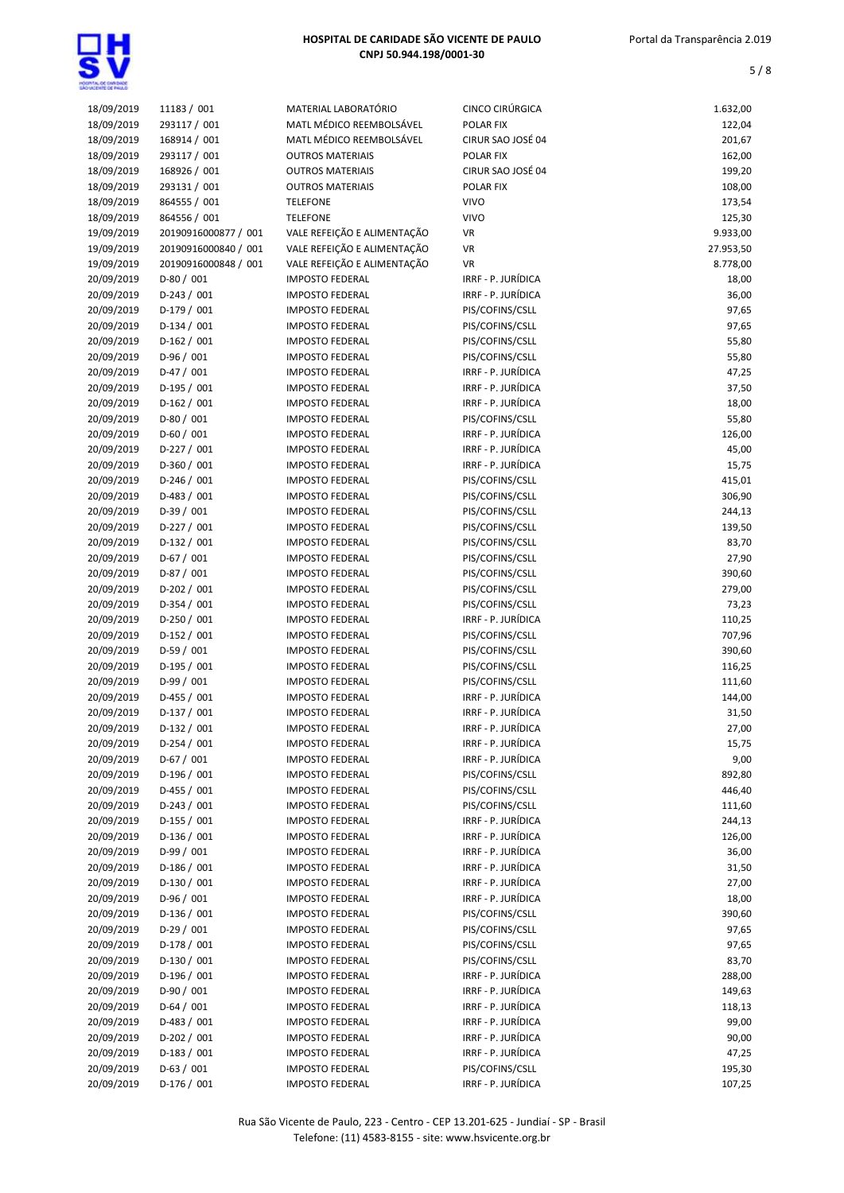| 18/09/2019 | 11183 / 001          | MATERIAL LABORATÓRIO        | CINCO CIRÚRGICA    | 1.632,00  |
|------------|----------------------|-----------------------------|--------------------|-----------|
| 18/09/2019 | 293117 / 001         | MATL MÉDICO REEMBOLSÁVEL    | POLAR FIX          | 122,04    |
| 18/09/2019 | 168914 / 001         | MATL MÉDICO REEMBOLSÁVEL    | CIRUR SAO JOSÉ 04  | 201,67    |
| 18/09/2019 | 293117 / 001         | <b>OUTROS MATERIAIS</b>     | POLAR FIX          | 162,00    |
| 18/09/2019 | 168926 / 001         | <b>OUTROS MATERIAIS</b>     | CIRUR SAO JOSÉ 04  | 199,20    |
| 18/09/2019 | 293131 / 001         | <b>OUTROS MATERIAIS</b>     | POLAR FIX          | 108,00    |
|            |                      |                             |                    |           |
| 18/09/2019 | 864555 / 001         | <b>TELEFONE</b>             | <b>VIVO</b>        | 173,54    |
| 18/09/2019 | 864556 / 001         | <b>TELEFONE</b>             | <b>VIVO</b>        | 125,30    |
| 19/09/2019 | 20190916000877 / 001 | VALE REFEIÇÃO E ALIMENTAÇÃO | VR                 | 9.933,00  |
| 19/09/2019 | 20190916000840 / 001 | VALE REFEIÇÃO E ALIMENTAÇÃO | VR                 | 27.953,50 |
| 19/09/2019 | 20190916000848 / 001 | VALE REFEIÇÃO E ALIMENTAÇÃO | VR                 | 8.778,00  |
| 20/09/2019 | $D-80/001$           | <b>IMPOSTO FEDERAL</b>      | IRRF - P. JURÍDICA | 18,00     |
| 20/09/2019 | $D-243/001$          | <b>IMPOSTO FEDERAL</b>      | IRRF - P. JURÍDICA | 36,00     |
| 20/09/2019 | $D-179/001$          | <b>IMPOSTO FEDERAL</b>      | PIS/COFINS/CSLL    | 97,65     |
| 20/09/2019 | $D-134/001$          | <b>IMPOSTO FEDERAL</b>      | PIS/COFINS/CSLL    | 97,65     |
| 20/09/2019 | $D-162 / 001$        | <b>IMPOSTO FEDERAL</b>      | PIS/COFINS/CSLL    | 55,80     |
| 20/09/2019 | $D-96/001$           | <b>IMPOSTO FEDERAL</b>      | PIS/COFINS/CSLL    | 55,80     |
| 20/09/2019 | $D-47/001$           | <b>IMPOSTO FEDERAL</b>      | IRRF - P. JURÍDICA | 47,25     |
| 20/09/2019 | D-195 / 001          | <b>IMPOSTO FEDERAL</b>      | IRRF - P. JURÍDICA | 37,50     |
| 20/09/2019 | $D-162/001$          | <b>IMPOSTO FEDERAL</b>      | IRRF - P. JURÍDICA | 18,00     |
| 20/09/2019 | $D-80/001$           | <b>IMPOSTO FEDERAL</b>      | PIS/COFINS/CSLL    | 55,80     |
| 20/09/2019 | $D-60/001$           | <b>IMPOSTO FEDERAL</b>      | IRRF - P. JURÍDICA | 126,00    |
| 20/09/2019 | D-227 / 001          | <b>IMPOSTO FEDERAL</b>      | IRRF - P. JURÍDICA | 45,00     |
| 20/09/2019 | $D-360/001$          | <b>IMPOSTO FEDERAL</b>      | IRRF - P. JURÍDICA | 15,75     |
| 20/09/2019 | $D-246 / 001$        | <b>IMPOSTO FEDERAL</b>      | PIS/COFINS/CSLL    | 415,01    |
| 20/09/2019 | D-483 / 001          | <b>IMPOSTO FEDERAL</b>      | PIS/COFINS/CSLL    | 306,90    |
|            | $D-39/001$           |                             |                    |           |
| 20/09/2019 |                      | <b>IMPOSTO FEDERAL</b>      | PIS/COFINS/CSLL    | 244,13    |
| 20/09/2019 | $D-227/001$          | <b>IMPOSTO FEDERAL</b>      | PIS/COFINS/CSLL    | 139,50    |
| 20/09/2019 | D-132 / 001          | <b>IMPOSTO FEDERAL</b>      | PIS/COFINS/CSLL    | 83,70     |
| 20/09/2019 | $D-67/001$           | <b>IMPOSTO FEDERAL</b>      | PIS/COFINS/CSLL    | 27,90     |
| 20/09/2019 | $D-87/001$           | <b>IMPOSTO FEDERAL</b>      | PIS/COFINS/CSLL    | 390,60    |
| 20/09/2019 | D-202 / 001          | <b>IMPOSTO FEDERAL</b>      | PIS/COFINS/CSLL    | 279,00    |
| 20/09/2019 | $D-354/001$          | <b>IMPOSTO FEDERAL</b>      | PIS/COFINS/CSLL    | 73,23     |
| 20/09/2019 | $D-250/001$          | <b>IMPOSTO FEDERAL</b>      | IRRF - P. JURÍDICA | 110,25    |
| 20/09/2019 | D-152 / 001          | <b>IMPOSTO FEDERAL</b>      | PIS/COFINS/CSLL    | 707,96    |
| 20/09/2019 | $D-59/001$           | <b>IMPOSTO FEDERAL</b>      | PIS/COFINS/CSLL    | 390,60    |
| 20/09/2019 | $D-195/001$          | <b>IMPOSTO FEDERAL</b>      | PIS/COFINS/CSLL    | 116,25    |
| 20/09/2019 | $D-99/001$           | <b>IMPOSTO FEDERAL</b>      | PIS/COFINS/CSLL    | 111,60    |
| 20/09/2019 | $D-455 / 001$        | <b>IMPOSTO FEDERAL</b>      | IRRF - P. JURÍDICA | 144,00    |
| 20/09/2019 | $D-137/001$          | <b>IMPOSTO FEDERAL</b>      | IRRF - P. JURÍDICA | 31,50     |
| 20/09/2019 | $D-132 / 001$        | <b>IMPOSTO FEDERAL</b>      | IRRF - P. JURÍDICA | 27,00     |
| 20/09/2019 | $D-254/001$          | <b>IMPOSTO FEDERAL</b>      | IRRF - P. JURÍDICA | 15,75     |
| 20/09/2019 | $D-67/001$           | <b>IMPOSTO FEDERAL</b>      | IRRF - P. JURÍDICA | 9,00      |
| 20/09/2019 | $D-196/001$          | <b>IMPOSTO FEDERAL</b>      | PIS/COFINS/CSLL    | 892,80    |
| 20/09/2019 | D-455 / 001          | <b>IMPOSTO FEDERAL</b>      | PIS/COFINS/CSLL    | 446,40    |
| 20/09/2019 | $D-243 / 001$        | <b>IMPOSTO FEDERAL</b>      | PIS/COFINS/CSLL    | 111,60    |
| 20/09/2019 | D-155 / 001          | <b>IMPOSTO FEDERAL</b>      | IRRF - P. JURÍDICA | 244,13    |
| 20/09/2019 | D-136 / 001          | <b>IMPOSTO FEDERAL</b>      | IRRF - P. JURÍDICA | 126,00    |
| 20/09/2019 | D-99 / 001           | <b>IMPOSTO FEDERAL</b>      | IRRF - P. JURÍDICA | 36,00     |
| 20/09/2019 | $D-186/001$          | <b>IMPOSTO FEDERAL</b>      | IRRF - P. JURÍDICA | 31,50     |
| 20/09/2019 | D-130 / 001          | <b>IMPOSTO FEDERAL</b>      | IRRF - P. JURÍDICA | 27,00     |
|            |                      |                             |                    |           |
| 20/09/2019 | $D-96/001$           | <b>IMPOSTO FEDERAL</b>      | IRRF - P. JURÍDICA | 18,00     |
| 20/09/2019 | $D-136/001$          | <b>IMPOSTO FEDERAL</b>      | PIS/COFINS/CSLL    | 390,60    |
| 20/09/2019 | $D-29/001$           | <b>IMPOSTO FEDERAL</b>      | PIS/COFINS/CSLL    | 97,65     |
| 20/09/2019 | $D-178/001$          | <b>IMPOSTO FEDERAL</b>      | PIS/COFINS/CSLL    | 97,65     |
| 20/09/2019 | D-130 / 001          | <b>IMPOSTO FEDERAL</b>      | PIS/COFINS/CSLL    | 83,70     |
| 20/09/2019 | D-196 / 001          | <b>IMPOSTO FEDERAL</b>      | IRRF - P. JURÍDICA | 288,00    |
| 20/09/2019 | D-90 / 001           | <b>IMPOSTO FEDERAL</b>      | IRRF - P. JURÍDICA | 149,63    |
| 20/09/2019 | $D-64/001$           | <b>IMPOSTO FEDERAL</b>      | IRRF - P. JURÍDICA | 118,13    |
| 20/09/2019 | $D-483 / 001$        | <b>IMPOSTO FEDERAL</b>      | IRRF - P. JURÍDICA | 99,00     |
| 20/09/2019 | $D-202 / 001$        | <b>IMPOSTO FEDERAL</b>      | IRRF - P. JURÍDICA | 90,00     |
| 20/09/2019 | D-183 / 001          | <b>IMPOSTO FEDERAL</b>      | IRRF - P. JURÍDICA | 47,25     |
| 20/09/2019 | $D-63/001$           | <b>IMPOSTO FEDERAL</b>      | PIS/COFINS/CSLL    | 195,30    |
| 20/09/2019 | $D-176/001$          | <b>IMPOSTO FEDERAL</b>      | IRRF - P. JURÍDICA | 107,25    |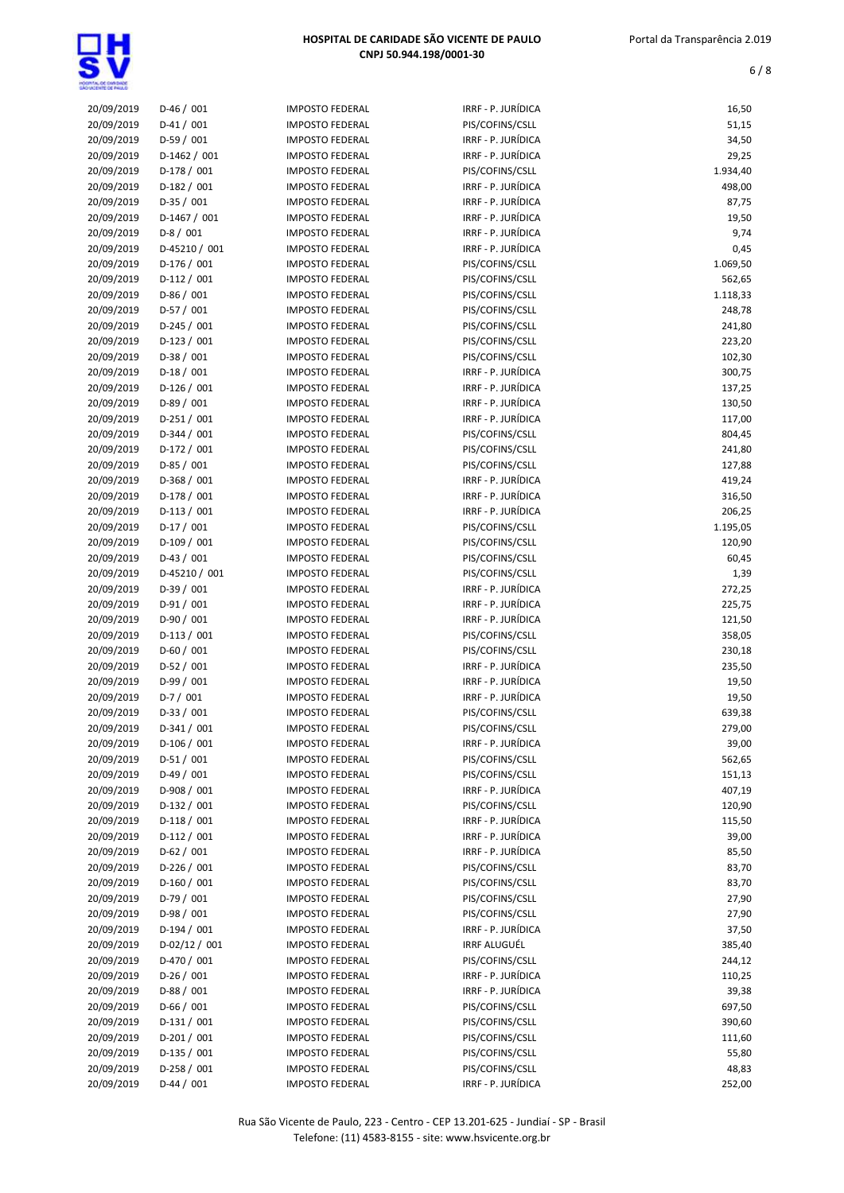

| 20/09/2019 | $D-46/001$     | <b>IMPOSTO FEDERAL</b> | IRRF - P. JURÍDICA  | 16,50    |
|------------|----------------|------------------------|---------------------|----------|
| 20/09/2019 | $D-41/001$     | <b>IMPOSTO FEDERAL</b> | PIS/COFINS/CSLL     | 51,15    |
| 20/09/2019 | $D-59/001$     | <b>IMPOSTO FEDERAL</b> | IRRF - P. JURÍDICA  | 34,50    |
| 20/09/2019 | $D-1462 / 001$ | <b>IMPOSTO FEDERAL</b> | IRRF - P. JURÍDICA  | 29,25    |
| 20/09/2019 | D-178 / 001    | <b>IMPOSTO FEDERAL</b> | PIS/COFINS/CSLL     | 1.934,40 |
| 20/09/2019 | $D-182/001$    | <b>IMPOSTO FEDERAL</b> | IRRF - P. JURÍDICA  | 498,00   |
|            | D-35 / 001     |                        | IRRF - P. JURÍDICA  |          |
| 20/09/2019 |                | <b>IMPOSTO FEDERAL</b> |                     | 87,75    |
| 20/09/2019 | D-1467 / 001   | <b>IMPOSTO FEDERAL</b> | IRRF - P. JURÍDICA  | 19,50    |
| 20/09/2019 | $D-8/001$      | <b>IMPOSTO FEDERAL</b> | IRRF - P. JURÍDICA  | 9,74     |
| 20/09/2019 | D-45210 / 001  | <b>IMPOSTO FEDERAL</b> | IRRF - P. JURÍDICA  | 0,45     |
| 20/09/2019 | $D-176/001$    | <b>IMPOSTO FEDERAL</b> | PIS/COFINS/CSLL     | 1.069,50 |
| 20/09/2019 | $D-112/001$    | <b>IMPOSTO FEDERAL</b> | PIS/COFINS/CSLL     | 562,65   |
| 20/09/2019 | $D-86/001$     | <b>IMPOSTO FEDERAL</b> | PIS/COFINS/CSLL     | 1.118,33 |
| 20/09/2019 | D-57 / 001     | <b>IMPOSTO FEDERAL</b> | PIS/COFINS/CSLL     | 248,78   |
| 20/09/2019 | $D-245 / 001$  | <b>IMPOSTO FEDERAL</b> | PIS/COFINS/CSLL     | 241,80   |
| 20/09/2019 | $D-123/001$    | <b>IMPOSTO FEDERAL</b> | PIS/COFINS/CSLL     | 223,20   |
| 20/09/2019 | $D-38/001$     | <b>IMPOSTO FEDERAL</b> | PIS/COFINS/CSLL     | 102,30   |
|            |                |                        |                     |          |
| 20/09/2019 | $D-18/001$     | <b>IMPOSTO FEDERAL</b> | IRRF - P. JURÍDICA  | 300,75   |
| 20/09/2019 | $D-126 / 001$  | <b>IMPOSTO FEDERAL</b> | IRRF - P. JURÍDICA  | 137,25   |
| 20/09/2019 | $D-89/001$     | <b>IMPOSTO FEDERAL</b> | IRRF - P. JURÍDICA  | 130,50   |
| 20/09/2019 | $D-251/001$    | <b>IMPOSTO FEDERAL</b> | IRRF - P. JURÍDICA  | 117,00   |
| 20/09/2019 | $D-344 / 001$  | <b>IMPOSTO FEDERAL</b> | PIS/COFINS/CSLL     | 804,45   |
| 20/09/2019 | $D-172/001$    | <b>IMPOSTO FEDERAL</b> | PIS/COFINS/CSLL     | 241,80   |
| 20/09/2019 | $D-85/001$     | <b>IMPOSTO FEDERAL</b> | PIS/COFINS/CSLL     | 127,88   |
| 20/09/2019 | D-368 / 001    | <b>IMPOSTO FEDERAL</b> | IRRF - P. JURÍDICA  | 419,24   |
| 20/09/2019 | $D-178/001$    | <b>IMPOSTO FEDERAL</b> | IRRF - P. JURÍDICA  | 316,50   |
| 20/09/2019 | $D-113/001$    | <b>IMPOSTO FEDERAL</b> | IRRF - P. JURÍDICA  | 206,25   |
|            | $D-17/001$     |                        | PIS/COFINS/CSLL     | 1.195,05 |
| 20/09/2019 |                | <b>IMPOSTO FEDERAL</b> |                     |          |
| 20/09/2019 | $D-109/001$    | <b>IMPOSTO FEDERAL</b> | PIS/COFINS/CSLL     | 120,90   |
| 20/09/2019 | $D-43 / 001$   | <b>IMPOSTO FEDERAL</b> | PIS/COFINS/CSLL     | 60,45    |
| 20/09/2019 | D-45210 / 001  | <b>IMPOSTO FEDERAL</b> | PIS/COFINS/CSLL     | 1,39     |
| 20/09/2019 | $D-39/001$     | <b>IMPOSTO FEDERAL</b> | IRRF - P. JURÍDICA  | 272,25   |
| 20/09/2019 | $D-91/001$     | <b>IMPOSTO FEDERAL</b> | IRRF - P. JURÍDICA  | 225,75   |
| 20/09/2019 | $D-90/001$     | <b>IMPOSTO FEDERAL</b> | IRRF - P. JURÍDICA  | 121,50   |
| 20/09/2019 | $D-113 / 001$  | <b>IMPOSTO FEDERAL</b> | PIS/COFINS/CSLL     | 358,05   |
| 20/09/2019 | $D-60/001$     | <b>IMPOSTO FEDERAL</b> | PIS/COFINS/CSLL     | 230,18   |
| 20/09/2019 | $D-52/001$     | <b>IMPOSTO FEDERAL</b> | IRRF - P. JURÍDICA  | 235,50   |
| 20/09/2019 | $D-99/001$     | <b>IMPOSTO FEDERAL</b> | IRRF - P. JURÍDICA  | 19,50    |
|            | $D-7/001$      | <b>IMPOSTO FEDERAL</b> | IRRF - P. JURÍDICA  |          |
| 20/09/2019 |                |                        |                     | 19,50    |
| 20/09/2019 | $D-33 / 001$   | <b>IMPOSTO FEDERAL</b> | PIS/COFINS/CSLL     | 639,38   |
| 20/09/2019 | $D-341/001$    | <b>IMPOSTO FEDERAL</b> | PIS/COFINS/CSLL     | 279,00   |
| 20/09/2019 | $D-106/001$    | <b>IMPOSTO FEDERAL</b> | IRRF - P. JURÍDICA  | 39,00    |
| 20/09/2019 | $D-51/001$     | <b>IMPOSTO FEDERAL</b> | PIS/COFINS/CSLL     | 562,65   |
| 20/09/2019 | D-49 / 001     | <b>IMPOSTO FEDERAL</b> | PIS/COFINS/CSLL     | 151,13   |
| 20/09/2019 | $D-908 / 001$  | <b>IMPOSTO FEDERAL</b> | IRRF - P. JURÍDICA  | 407,19   |
| 20/09/2019 | $D-132 / 001$  | <b>IMPOSTO FEDERAL</b> | PIS/COFINS/CSLL     | 120,90   |
| 20/09/2019 | $D-118/001$    | <b>IMPOSTO FEDERAL</b> | IRRF - P. JURÍDICA  | 115,50   |
| 20/09/2019 | $D-112/001$    | <b>IMPOSTO FEDERAL</b> | IRRF - P. JURÍDICA  | 39,00    |
| 20/09/2019 | $D-62/001$     | <b>IMPOSTO FEDERAL</b> | IRRF - P. JURÍDICA  | 85,50    |
| 20/09/2019 | D-226 / 001    | <b>IMPOSTO FEDERAL</b> | PIS/COFINS/CSLL     | 83,70    |
| 20/09/2019 | $D-160/001$    |                        | PIS/COFINS/CSLL     |          |
|            |                | <b>IMPOSTO FEDERAL</b> |                     | 83,70    |
| 20/09/2019 | $D-79/001$     | <b>IMPOSTO FEDERAL</b> | PIS/COFINS/CSLL     | 27,90    |
| 20/09/2019 | $D-98/001$     | <b>IMPOSTO FEDERAL</b> | PIS/COFINS/CSLL     | 27,90    |
| 20/09/2019 | D-194 / 001    | <b>IMPOSTO FEDERAL</b> | IRRF - P. JURÍDICA  | 37,50    |
| 20/09/2019 | $D-02/12/001$  | <b>IMPOSTO FEDERAL</b> | <b>IRRF ALUGUÉL</b> | 385,40   |
| 20/09/2019 | $D-470/001$    | <b>IMPOSTO FEDERAL</b> | PIS/COFINS/CSLL     | 244,12   |
| 20/09/2019 | $D-26/001$     | <b>IMPOSTO FEDERAL</b> | IRRF - P. JURÍDICA  | 110,25   |
| 20/09/2019 | $D-88/001$     | <b>IMPOSTO FEDERAL</b> | IRRF - P. JURÍDICA  | 39,38    |
| 20/09/2019 | $D-66/001$     | <b>IMPOSTO FEDERAL</b> | PIS/COFINS/CSLL     | 697,50   |
| 20/09/2019 | $D-131/001$    | <b>IMPOSTO FEDERAL</b> | PIS/COFINS/CSLL     | 390,60   |
| 20/09/2019 | $D-201/001$    | <b>IMPOSTO FEDERAL</b> | PIS/COFINS/CSLL     | 111,60   |
|            |                |                        |                     |          |
| 20/09/2019 | $D-135 / 001$  | <b>IMPOSTO FEDERAL</b> | PIS/COFINS/CSLL     | 55,80    |
| 20/09/2019 | $D-258/001$    | <b>IMPOSTO FEDERAL</b> | PIS/COFINS/CSLL     | 48,83    |
| 20/09/2019 | $D-44 / 001$   | <b>IMPOSTO FEDERAL</b> | IRRF - P. JURÍDICA  | 252,00   |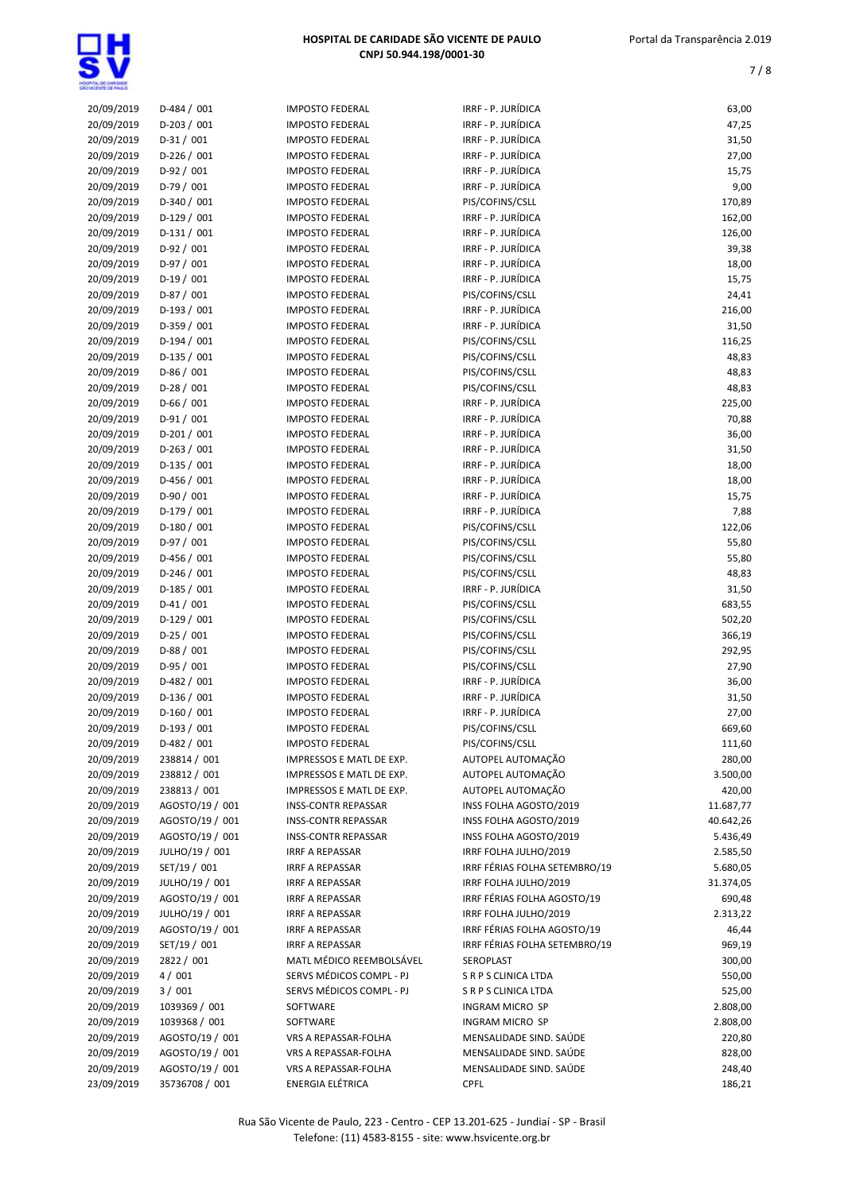| 20/09/2019 | $D-484 / 001$   | <b>IMPOSTO FEDERAL</b>     | IRRF - P. JURÍDICA            | 63,00     |
|------------|-----------------|----------------------------|-------------------------------|-----------|
| 20/09/2019 | D-203 / 001     | <b>IMPOSTO FEDERAL</b>     | IRRF - P. JURÍDICA            | 47,25     |
| 20/09/2019 | $D-31/001$      | <b>IMPOSTO FEDERAL</b>     | IRRF - P. JURÍDICA            | 31,50     |
| 20/09/2019 | $D-226 / 001$   | <b>IMPOSTO FEDERAL</b>     | IRRF - P. JURÍDICA            | 27,00     |
| 20/09/2019 | $D-92/001$      | <b>IMPOSTO FEDERAL</b>     | IRRF - P. JURÍDICA            | 15,75     |
| 20/09/2019 | $D-79/001$      |                            | IRRF - P. JURÍDICA            | 9,00      |
|            |                 | <b>IMPOSTO FEDERAL</b>     |                               |           |
| 20/09/2019 | $D-340/001$     | <b>IMPOSTO FEDERAL</b>     | PIS/COFINS/CSLL               | 170,89    |
| 20/09/2019 | $D-129/001$     | <b>IMPOSTO FEDERAL</b>     | IRRF - P. JURÍDICA            | 162,00    |
| 20/09/2019 | $D-131/001$     | <b>IMPOSTO FEDERAL</b>     | IRRF - P. JURÍDICA            | 126,00    |
| 20/09/2019 | $D-92/001$      | <b>IMPOSTO FEDERAL</b>     | IRRF - P. JURÍDICA            | 39,38     |
| 20/09/2019 | $D-97/001$      | <b>IMPOSTO FEDERAL</b>     | IRRF - P. JURÍDICA            | 18,00     |
|            |                 |                            | IRRF - P. JURÍDICA            |           |
| 20/09/2019 | $D-19/001$      | <b>IMPOSTO FEDERAL</b>     |                               | 15,75     |
| 20/09/2019 | $D-87/001$      | <b>IMPOSTO FEDERAL</b>     | PIS/COFINS/CSLL               | 24,41     |
| 20/09/2019 | $D-193/001$     | <b>IMPOSTO FEDERAL</b>     | IRRF - P. JURÍDICA            | 216,00    |
| 20/09/2019 | $D-359/001$     | <b>IMPOSTO FEDERAL</b>     | IRRF - P. JURÍDICA            | 31,50     |
| 20/09/2019 | $D-194/001$     | <b>IMPOSTO FEDERAL</b>     | PIS/COFINS/CSLL               | 116,25    |
| 20/09/2019 | $D-135 / 001$   | <b>IMPOSTO FEDERAL</b>     | PIS/COFINS/CSLL               | 48,83     |
|            |                 |                            |                               |           |
| 20/09/2019 | $D-86/001$      | <b>IMPOSTO FEDERAL</b>     | PIS/COFINS/CSLL               | 48,83     |
| 20/09/2019 | $D-28/001$      | <b>IMPOSTO FEDERAL</b>     | PIS/COFINS/CSLL               | 48,83     |
| 20/09/2019 | $D-66/001$      | <b>IMPOSTO FEDERAL</b>     | IRRF - P. JURÍDICA            | 225,00    |
| 20/09/2019 | $D-91/001$      | <b>IMPOSTO FEDERAL</b>     | IRRF - P. JURÍDICA            | 70,88     |
| 20/09/2019 | $D-201/001$     | <b>IMPOSTO FEDERAL</b>     | IRRF - P. JURÍDICA            | 36,00     |
| 20/09/2019 | $D-263 / 001$   | <b>IMPOSTO FEDERAL</b>     | IRRF - P. JURÍDICA            | 31,50     |
|            |                 |                            |                               |           |
| 20/09/2019 | $D-135 / 001$   | <b>IMPOSTO FEDERAL</b>     | IRRF - P. JURÍDICA            | 18,00     |
| 20/09/2019 | $D-456 / 001$   | <b>IMPOSTO FEDERAL</b>     | IRRF - P. JURÍDICA            | 18,00     |
| 20/09/2019 | D-90 / 001      | <b>IMPOSTO FEDERAL</b>     | IRRF - P. JURÍDICA            | 15,75     |
| 20/09/2019 | $D-179/001$     | <b>IMPOSTO FEDERAL</b>     | IRRF - P. JURÍDICA            | 7,88      |
| 20/09/2019 | D-180 / 001     | <b>IMPOSTO FEDERAL</b>     | PIS/COFINS/CSLL               | 122,06    |
| 20/09/2019 | $D-97/001$      | <b>IMPOSTO FEDERAL</b>     | PIS/COFINS/CSLL               | 55,80     |
|            |                 |                            |                               |           |
| 20/09/2019 | $D-456 / 001$   | <b>IMPOSTO FEDERAL</b>     | PIS/COFINS/CSLL               | 55,80     |
| 20/09/2019 | $D-246/001$     | <b>IMPOSTO FEDERAL</b>     | PIS/COFINS/CSLL               | 48,83     |
| 20/09/2019 | $D-185/001$     | <b>IMPOSTO FEDERAL</b>     | IRRF - P. JURÍDICA            | 31,50     |
| 20/09/2019 | $D-41/001$      | <b>IMPOSTO FEDERAL</b>     | PIS/COFINS/CSLL               | 683,55    |
| 20/09/2019 | $D-129/001$     | <b>IMPOSTO FEDERAL</b>     | PIS/COFINS/CSLL               | 502,20    |
|            | $D-25/001$      | <b>IMPOSTO FEDERAL</b>     |                               |           |
| 20/09/2019 |                 |                            | PIS/COFINS/CSLL               | 366,19    |
| 20/09/2019 | $D-88/001$      | <b>IMPOSTO FEDERAL</b>     | PIS/COFINS/CSLL               | 292,95    |
| 20/09/2019 | $D-95/001$      | <b>IMPOSTO FEDERAL</b>     | PIS/COFINS/CSLL               | 27,90     |
| 20/09/2019 | $D-482 / 001$   | <b>IMPOSTO FEDERAL</b>     | IRRF - P. JURÍDICA            | 36,00     |
| 20/09/2019 | $D-136/001$     | <b>IMPOSTO FEDERAL</b>     | IRRF - P. JURÍDICA            | 31,50     |
| 20/09/2019 | $D-160/001$     | <b>IMPOSTO FEDERAL</b>     | IRRF - P. JURÍDICA            | 27,00     |
|            |                 | <b>IMPOSTO FEDERAL</b>     | PIS/COFINS/CSLL               |           |
| 20/09/2019 | D-193 / 001     |                            |                               | 669,60    |
| 20/09/2019 | D-482 / 001     | <b>IMPOSTO FEDERAL</b>     | PIS/COFINS/CSLL               | 111,60    |
| 20/09/2019 | 238814 / 001    | IMPRESSOS E MATL DE EXP.   | AUTOPEL AUTOMAÇÃO             | 280,00    |
| 20/09/2019 | 238812 / 001    | IMPRESSOS E MATL DE EXP.   | AUTOPEL AUTOMAÇÃO             | 3.500,00  |
| 20/09/2019 | 238813 / 001    | IMPRESSOS E MATL DE EXP.   | AUTOPEL AUTOMAÇÃO             | 420,00    |
| 20/09/2019 | AGOSTO/19 / 001 | <b>INSS-CONTR REPASSAR</b> | INSS FOLHA AGOSTO/2019        | 11.687,77 |
| 20/09/2019 | AGOSTO/19 / 001 |                            | INSS FOLHA AGOSTO/2019        |           |
|            |                 | <b>INSS-CONTR REPASSAR</b> |                               | 40.642,26 |
| 20/09/2019 | AGOSTO/19 / 001 | <b>INSS-CONTR REPASSAR</b> | INSS FOLHA AGOSTO/2019        | 5.436,49  |
| 20/09/2019 | JULHO/19 / 001  | <b>IRRF A REPASSAR</b>     | IRRF FOLHA JULHO/2019         | 2.585,50  |
| 20/09/2019 | SET/19 / 001    | IRRF A REPASSAR            | IRRF FÉRIAS FOLHA SETEMBRO/19 | 5.680,05  |
| 20/09/2019 | JULHO/19 / 001  | IRRF A REPASSAR            | IRRF FOLHA JULHO/2019         | 31.374,05 |
| 20/09/2019 | AGOSTO/19 / 001 | <b>IRRF A REPASSAR</b>     | IRRF FÉRIAS FOLHA AGOSTO/19   | 690,48    |
| 20/09/2019 | JULHO/19 / 001  |                            |                               |           |
|            |                 | <b>IRRF A REPASSAR</b>     | IRRF FOLHA JULHO/2019         | 2.313,22  |
| 20/09/2019 | AGOSTO/19 / 001 | IRRF A REPASSAR            | IRRF FÉRIAS FOLHA AGOSTO/19   | 46,44     |
| 20/09/2019 | SET/19 / 001    | <b>IRRF A REPASSAR</b>     | IRRF FÉRIAS FOLHA SETEMBRO/19 | 969,19    |
| 20/09/2019 | 2822 / 001      | MATL MÉDICO REEMBOLSÁVEL   | SEROPLAST                     | 300,00    |
| 20/09/2019 | 4/001           | SERVS MÉDICOS COMPL - PJ   | S R P S CLINICA LTDA          | 550,00    |
| 20/09/2019 | 3/001           | SERVS MÉDICOS COMPL - PJ   | S R P S CLINICA LTDA          | 525,00    |
|            |                 | SOFTWARE                   | INGRAM MICRO SP               |           |
| 20/09/2019 | 1039369 / 001   |                            |                               | 2.808,00  |
| 20/09/2019 | 1039368 / 001   | SOFTWARE                   | INGRAM MICRO SP               | 2.808,00  |
| 20/09/2019 | AGOSTO/19 / 001 | VRS A REPASSAR-FOLHA       | MENSALIDADE SIND. SAÚDE       | 220,80    |
| 20/09/2019 | AGOSTO/19 / 001 | VRS A REPASSAR-FOLHA       | MENSALIDADE SIND. SAÚDE       | 828,00    |
| 20/09/2019 | AGOSTO/19 / 001 | VRS A REPASSAR-FOLHA       | MENSALIDADE SIND. SAÚDE       | 248,40    |
| 23/09/2019 | 35736708 / 001  | ENERGIA ELÉTRICA           | <b>CPFL</b>                   | 186,21    |
|            |                 |                            |                               |           |